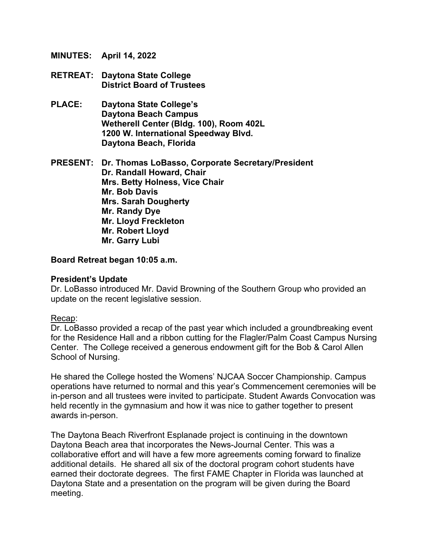- **MINUTES: April 14, 2022**
- **RETREAT: Daytona State College District Board of Trustees**
- **PLACE: Daytona State College's Daytona Beach Campus Wetherell Center (Bldg. 100), Room 402L 1200 W. International Speedway Blvd. Daytona Beach, Florida**

**PRESENT: Dr. Thomas LoBasso, Corporate Secretary/President Dr. Randall Howard, Chair Mrs. Betty Holness, Vice Chair Mr. Bob Davis Mrs. Sarah Dougherty Mr. Randy Dye Mr. Lloyd Freckleton Mr. Robert Lloyd Mr. Garry Lubi** 

#### **Board Retreat began 10:05 a.m.**

#### **President's Update**

Dr. LoBasso introduced Mr. David Browning of the Southern Group who provided an update on the recent legislative session.

#### Recap:

Dr. LoBasso provided a recap of the past year which included a groundbreaking event for the Residence Hall and a ribbon cutting for the Flagler/Palm Coast Campus Nursing Center. The College received a generous endowment gift for the Bob & Carol Allen School of Nursing.

He shared the College hosted the Womens' NJCAA Soccer Championship. Campus operations have returned to normal and this year's Commencement ceremonies will be in-person and all trustees were invited to participate. Student Awards Convocation was held recently in the gymnasium and how it was nice to gather together to present awards in-person.

The Daytona Beach Riverfront Esplanade project is continuing in the downtown Daytona Beach area that incorporates the News-Journal Center. This was a collaborative effort and will have a few more agreements coming forward to finalize additional details. He shared all six of the doctoral program cohort students have earned their doctorate degrees. The first FAME Chapter in Florida was launched at Daytona State and a presentation on the program will be given during the Board meeting.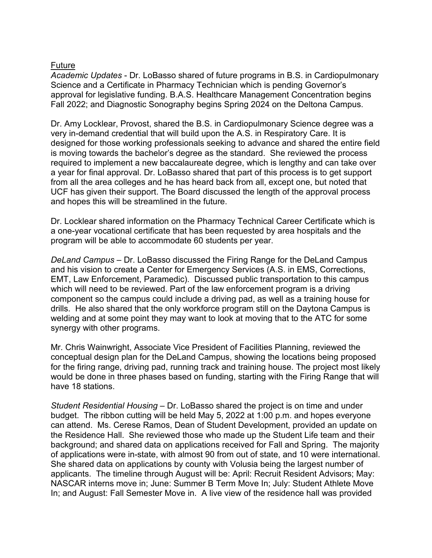### Future

*Academic Updates* - Dr. LoBasso shared of future programs in B.S. in Cardiopulmonary Science and a Certificate in Pharmacy Technician which is pending Governor's approval for legislative funding. B.A.S. Healthcare Management Concentration begins Fall 2022; and Diagnostic Sonography begins Spring 2024 on the Deltona Campus.

Dr. Amy Locklear, Provost, shared the B.S. in Cardiopulmonary Science degree was a very in-demand credential that will build upon the A.S. in Respiratory Care. It is designed for those working professionals seeking to advance and shared the entire field is moving towards the bachelor's degree as the standard. She reviewed the process required to implement a new baccalaureate degree, which is lengthy and can take over a year for final approval. Dr. LoBasso shared that part of this process is to get support from all the area colleges and he has heard back from all, except one, but noted that UCF has given their support. The Board discussed the length of the approval process and hopes this will be streamlined in the future.

Dr. Locklear shared information on the Pharmacy Technical Career Certificate which is a one-year vocational certificate that has been requested by area hospitals and the program will be able to accommodate 60 students per year.

*DeLand Campus* – Dr. LoBasso discussed the Firing Range for the DeLand Campus and his vision to create a Center for Emergency Services (A.S. in EMS, Corrections, EMT, Law Enforcement, Paramedic). Discussed public transportation to this campus which will need to be reviewed. Part of the law enforcement program is a driving component so the campus could include a driving pad, as well as a training house for drills. He also shared that the only workforce program still on the Daytona Campus is welding and at some point they may want to look at moving that to the ATC for some synergy with other programs.

Mr. Chris Wainwright, Associate Vice President of Facilities Planning, reviewed the conceptual design plan for the DeLand Campus, showing the locations being proposed for the firing range, driving pad, running track and training house. The project most likely would be done in three phases based on funding, starting with the Firing Range that will have 18 stations.

*Student Residential Housing* – Dr. LoBasso shared the project is on time and under budget. The ribbon cutting will be held May 5, 2022 at 1:00 p.m. and hopes everyone can attend. Ms. Cerese Ramos, Dean of Student Development, provided an update on the Residence Hall. She reviewed those who made up the Student Life team and their background; and shared data on applications received for Fall and Spring. The majority of applications were in-state, with almost 90 from out of state, and 10 were international. She shared data on applications by county with Volusia being the largest number of applicants. The timeline through August will be: April: Recruit Resident Advisors; May: NASCAR interns move in; June: Summer B Term Move In; July: Student Athlete Move In; and August: Fall Semester Move in. A live view of the residence hall was provided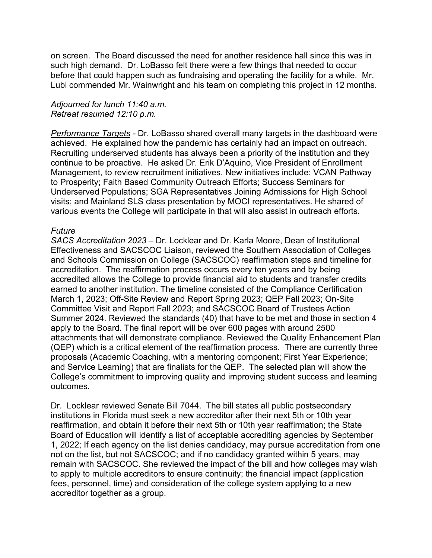on screen. The Board discussed the need for another residence hall since this was in such high demand. Dr. LoBasso felt there were a few things that needed to occur before that could happen such as fundraising and operating the facility for a while. Mr. Lubi commended Mr. Wainwright and his team on completing this project in 12 months.

*Adjourned for lunch 11:40 a.m. Retreat resumed 12:10 p.m.*

*Performance Targets -* Dr. LoBasso shared overall many targets in the dashboard were achieved. He explained how the pandemic has certainly had an impact on outreach. Recruiting underserved students has always been a priority of the institution and they continue to be proactive. He asked Dr. Erik D'Aquino, Vice President of Enrollment Management, to review recruitment initiatives. New initiatives include: VCAN Pathway to Prosperity; Faith Based Community Outreach Efforts; Success Seminars for Underserved Populations; SGA Representatives Joining Admissions for High School visits; and Mainland SLS class presentation by MOCI representatives. He shared of various events the College will participate in that will also assist in outreach efforts.

# *Future*

*SACS Accreditation 2023 –* Dr. Locklear and Dr. Karla Moore, Dean of Institutional Effectiveness and SACSCOC Liaison, reviewed the Southern Association of Colleges and Schools Commission on College (SACSCOC) reaffirmation steps and timeline for accreditation. The reaffirmation process occurs every ten years and by being accredited allows the College to provide financial aid to students and transfer credits earned to another institution. The timeline consisted of the Compliance Certification March 1, 2023; Off-Site Review and Report Spring 2023; QEP Fall 2023; On-Site Committee Visit and Report Fall 2023; and SACSCOC Board of Trustees Action Summer 2024. Reviewed the standards (40) that have to be met and those in section 4 apply to the Board. The final report will be over 600 pages with around 2500 attachments that will demonstrate compliance. Reviewed the Quality Enhancement Plan (QEP) which is a critical element of the reaffirmation process. There are currently three proposals (Academic Coaching, with a mentoring component; First Year Experience; and Service Learning) that are finalists for the QEP. The selected plan will show the College's commitment to improving quality and improving student success and learning outcomes.

Dr. Locklear reviewed Senate Bill 7044. The bill states all public postsecondary institutions in Florida must seek a new accreditor after their next 5th or 10th year reaffirmation, and obtain it before their next 5th or 10th year reaffirmation; the State Board of Education will identify a list of acceptable accrediting agencies by September 1, 2022; If each agency on the list denies candidacy, may pursue accreditation from one not on the list, but not SACSCOC; and if no candidacy granted within 5 years, may remain with SACSCOC. She reviewed the impact of the bill and how colleges may wish to apply to multiple accreditors to ensure continuity; the financial impact (application fees, personnel, time) and consideration of the college system applying to a new accreditor together as a group.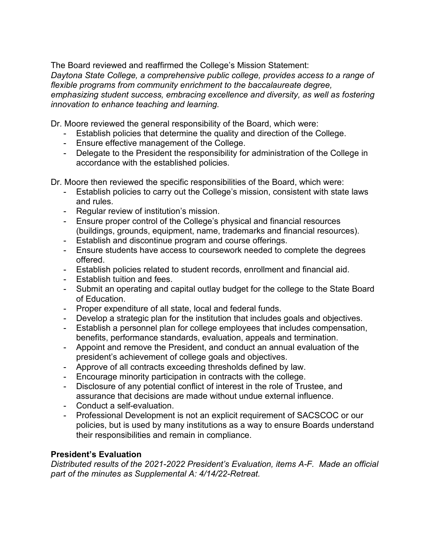The Board reviewed and reaffirmed the College's Mission Statement: *Daytona State College, a comprehensive public college, provides access to a range of flexible programs from community enrichment to the baccalaureate degree, emphasizing student success, embracing excellence and diversity, as well as fostering innovation to enhance teaching and learning.*

Dr. Moore reviewed the general responsibility of the Board, which were:

- Establish policies that determine the quality and direction of the College.
- Ensure effective management of the College.
- Delegate to the President the responsibility for administration of the College in accordance with the established policies.

Dr. Moore then reviewed the specific responsibilities of the Board, which were:

- Establish policies to carry out the College's mission, consistent with state laws and rules.
- Regular review of institution's mission.
- Ensure proper control of the College's physical and financial resources (buildings, grounds, equipment, name, trademarks and financial resources).
- Establish and discontinue program and course offerings.
- Ensure students have access to coursework needed to complete the degrees offered.
- Establish policies related to student records, enrollment and financial aid.
- Establish tuition and fees.
- Submit an operating and capital outlay budget for the college to the State Board of Education.
- Proper expenditure of all state, local and federal funds.
- Develop a strategic plan for the institution that includes goals and objectives.
- Establish a personnel plan for college employees that includes compensation, benefits, performance standards, evaluation, appeals and termination.
- Appoint and remove the President, and conduct an annual evaluation of the president's achievement of college goals and objectives.
- Approve of all contracts exceeding thresholds defined by law.
- Encourage minority participation in contracts with the college.
- Disclosure of any potential conflict of interest in the role of Trustee, and assurance that decisions are made without undue external influence.
- Conduct a self-evaluation.
- Professional Development is not an explicit requirement of SACSCOC or our policies, but is used by many institutions as a way to ensure Boards understand their responsibilities and remain in compliance.

# **President's Evaluation**

*Distributed results of the 2021-2022 President's Evaluation, items A-F. Made an official part of the minutes as Supplemental A: 4/14/22-Retreat.*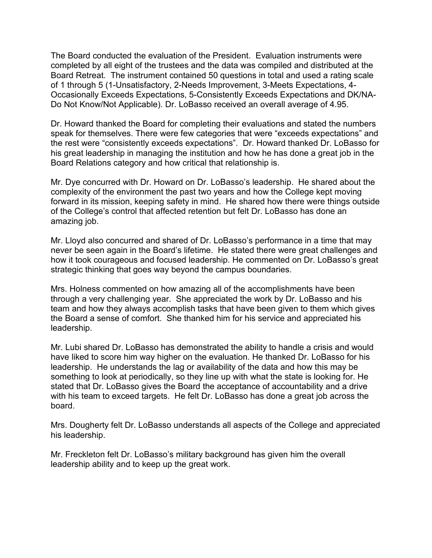The Board conducted the evaluation of the President. Evaluation instruments were completed by all eight of the trustees and the data was compiled and distributed at the Board Retreat. The instrument contained 50 questions in total and used a rating scale of 1 through 5 (1-Unsatisfactory, 2-Needs Improvement, 3-Meets Expectations, 4- Occasionally Exceeds Expectations, 5-Consistently Exceeds Expectations and DK/NA-Do Not Know/Not Applicable). Dr. LoBasso received an overall average of 4.95.

Dr. Howard thanked the Board for completing their evaluations and stated the numbers speak for themselves. There were few categories that were "exceeds expectations" and the rest were "consistently exceeds expectations". Dr. Howard thanked Dr. LoBasso for his great leadership in managing the institution and how he has done a great job in the Board Relations category and how critical that relationship is.

Mr. Dye concurred with Dr. Howard on Dr. LoBasso's leadership. He shared about the complexity of the environment the past two years and how the College kept moving forward in its mission, keeping safety in mind. He shared how there were things outside of the College's control that affected retention but felt Dr. LoBasso has done an amazing job.

Mr. Lloyd also concurred and shared of Dr. LoBasso's performance in a time that may never be seen again in the Board's lifetime. He stated there were great challenges and how it took courageous and focused leadership. He commented on Dr. LoBasso's great strategic thinking that goes way beyond the campus boundaries.

Mrs. Holness commented on how amazing all of the accomplishments have been through a very challenging year. She appreciated the work by Dr. LoBasso and his team and how they always accomplish tasks that have been given to them which gives the Board a sense of comfort. She thanked him for his service and appreciated his leadership.

Mr. Lubi shared Dr. LoBasso has demonstrated the ability to handle a crisis and would have liked to score him way higher on the evaluation. He thanked Dr. LoBasso for his leadership. He understands the lag or availability of the data and how this may be something to look at periodically, so they line up with what the state is looking for. He stated that Dr. LoBasso gives the Board the acceptance of accountability and a drive with his team to exceed targets. He felt Dr. LoBasso has done a great job across the board.

Mrs. Dougherty felt Dr. LoBasso understands all aspects of the College and appreciated his leadership.

Mr. Freckleton felt Dr. LoBasso's military background has given him the overall leadership ability and to keep up the great work.